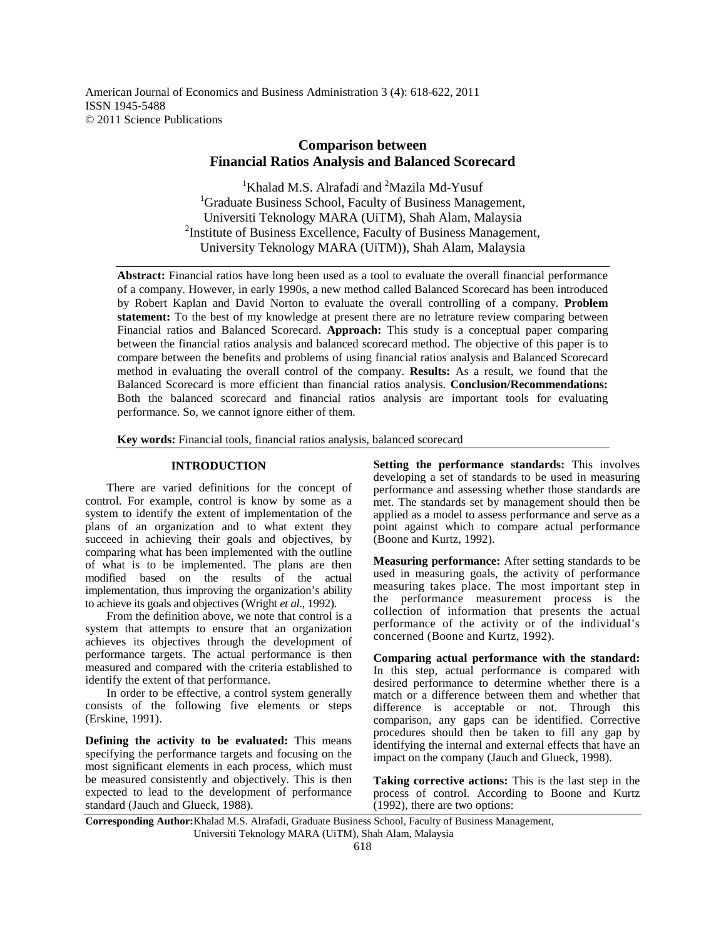American Journal of Economics and Business Administration 3 (4): 618-622, 2011 ISSN 1945-5488 © 2011 Science Publications

## **Comparison between Financial Ratios Analysis and Balanced Scorecard**

<sup>1</sup>Khalad M.S. Alrafadi and <sup>2</sup>Mazila Md-Yusuf  ${}^{1}$ Graduate Business School, Faculty of Business Management, Universiti Teknology MARA (UiTM), Shah Alam, Malaysia <sup>2</sup>Institute of Business Excellence, Faculty of Business Management, University Teknology MARA (UiTM)), Shah Alam, Malaysia

**Abstract:** Financial ratios have long been used as a tool to evaluate the overall financial performance of a company. However, in early 1990s, a new method called Balanced Scorecard has been introduced by Robert Kaplan and David Norton to evaluate the overall controlling of a company. **Problem statement:** To the best of my knowledge at present there are no letrature review comparing between Financial ratios and Balanced Scorecard. **Approach:** This study is a conceptual paper comparing between the financial ratios analysis and balanced scorecard method. The objective of this paper is to compare between the benefits and problems of using financial ratios analysis and Balanced Scorecard method in evaluating the overall control of the company. **Results:** As a result, we found that the Balanced Scorecard is more efficient than financial ratios analysis. **Conclusion/Recommendations:** Both the balanced scorecard and financial ratios analysis are important tools for evaluating performance. So, we cannot ignore either of them.

**Key words:** Financial tools, financial ratios analysis, balanced scorecard

## **INTRODUCTION**

 There are varied definitions for the concept of control. For example, control is know by some as a system to identify the extent of implementation of the plans of an organization and to what extent they succeed in achieving their goals and objectives, by comparing what has been implemented with the outline of what is to be implemented. The plans are then modified based on the results of the actual implementation, thus improving the organization's ability to achieve its goals and objectives (Wright *et al*., 1992).

 From the definition above, we note that control is a system that attempts to ensure that an organization achieves its objectives through the development of performance targets. The actual performance is then measured and compared with the criteria established to identify the extent of that performance.

 In order to be effective, a control system generally consists of the following five elements or steps (Erskine, 1991).

**Defining the activity to be evaluated:** This means specifying the performance targets and focusing on the most significant elements in each process, which must be measured consistently and objectively. This is then expected to lead to the development of performance standard (Jauch and Glueck, 1988).

**Setting the performance standards:** This involves developing a set of standards to be used in measuring performance and assessing whether those standards are met. The standards set by management should then be applied as a model to assess performance and serve as a point against which to compare actual performance (Boone and Kurtz, 1992).

**Measuring performance:** After setting standards to be used in measuring goals, the activity of performance measuring takes place. The most important step in the performance measurement process is the collection of information that presents the actual performance of the activity or of the individual's concerned (Boone and Kurtz, 1992).

**Comparing actual performance with the standard:**  In this step, actual performance is compared with desired performance to determine whether there is a match or a difference between them and whether that difference is acceptable or not. Through this comparison, any gaps can be identified. Corrective procedures should then be taken to fill any gap by identifying the internal and external effects that have an impact on the company (Jauch and Glueck, 1998).

**Taking corrective actions:** This is the last step in the process of control. According to Boone and Kurtz  $(1992)$ , there are two options:

**Corresponding Author:**Khalad M.S. Alrafadi, Graduate Business School, Faculty of Business Management, Universiti Teknology MARA (UiTM), Shah Alam, Malaysia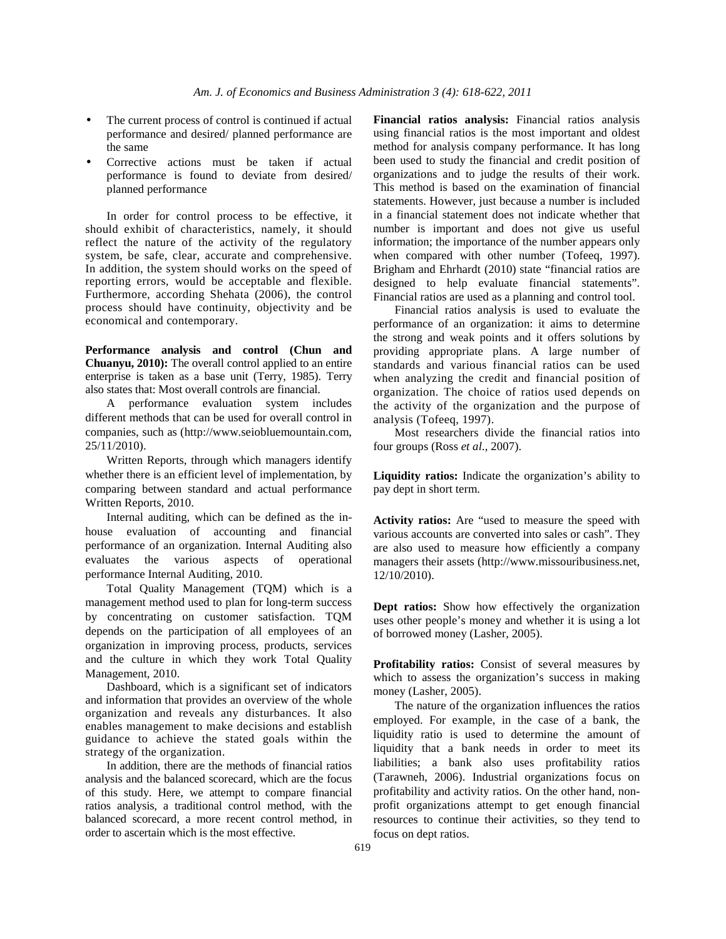- The current process of control is continued if actual performance and desired/ planned performance are the same
- Corrective actions must be taken if actual performance is found to deviate from desired/ planned performance

 In order for control process to be effective, it should exhibit of characteristics, namely, it should reflect the nature of the activity of the regulatory system, be safe, clear, accurate and comprehensive. In addition, the system should works on the speed of reporting errors, would be acceptable and flexible. Furthermore, according Shehata (2006), the control process should have continuity, objectivity and be economical and contemporary.

**Performance analysis and control (Chun and Chuanyu, 2010):** The overall control applied to an entire enterprise is taken as a base unit (Terry, 1985). Terry also states that: Most overall controls are financial.

 A performance evaluation system includes different methods that can be used for overall control in companies, such as (http://www.seiobluemountain.com, 25/11/2010).

 Written Reports, through which managers identify whether there is an efficient level of implementation, by comparing between standard and actual performance Written Reports, 2010.

 Internal auditing, which can be defined as the inhouse evaluation of accounting and financial performance of an organization. Internal Auditing also evaluates the various aspects of operational performance Internal Auditing, 2010.

 Total Quality Management (TQM) which is a management method used to plan for long-term success by concentrating on customer satisfaction. TQM depends on the participation of all employees of an organization in improving process, products, services and the culture in which they work Total Quality Management, 2010.

 Dashboard, which is a significant set of indicators and information that provides an overview of the whole organization and reveals any disturbances. It also enables management to make decisions and establish guidance to achieve the stated goals within the strategy of the organization.

 In addition, there are the methods of financial ratios analysis and the balanced scorecard, which are the focus of this study. Here, we attempt to compare financial ratios analysis, a traditional control method, with the balanced scorecard, a more recent control method, in order to ascertain which is the most effective.

**Financial ratios analysis:** Financial ratios analysis using financial ratios is the most important and oldest method for analysis company performance. It has long been used to study the financial and credit position of organizations and to judge the results of their work. This method is based on the examination of financial statements. However, just because a number is included in a financial statement does not indicate whether that number is important and does not give us useful information; the importance of the number appears only when compared with other number (Tofeeq, 1997). Brigham and Ehrhardt (2010) state "financial ratios are designed to help evaluate financial statements". Financial ratios are used as a planning and control tool.

 Financial ratios analysis is used to evaluate the performance of an organization: it aims to determine the strong and weak points and it offers solutions by providing appropriate plans. A large number of standards and various financial ratios can be used when analyzing the credit and financial position of organization. The choice of ratios used depends on the activity of the organization and the purpose of analysis (Tofeeq, 1997).

 Most researchers divide the financial ratios into four groups (Ross *et al*., 2007).

**Liquidity ratios:** Indicate the organization's ability to pay dept in short term.

**Activity ratios:** Are "used to measure the speed with various accounts are converted into sales or cash". They are also used to measure how efficiently a company managers their assets (http://www.missouribusiness.net, 12/10/2010).

**Dept ratios:** Show how effectively the organization uses other people's money and whether it is using a lot of borrowed money (Lasher, 2005).

Profitability ratios: Consist of several measures by which to assess the organization's success in making money (Lasher, 2005).

 The nature of the organization influences the ratios employed. For example, in the case of a bank, the liquidity ratio is used to determine the amount of liquidity that a bank needs in order to meet its liabilities; a bank also uses profitability ratios (Tarawneh, 2006). Industrial organizations focus on profitability and activity ratios. On the other hand, nonprofit organizations attempt to get enough financial resources to continue their activities, so they tend to focus on dept ratios.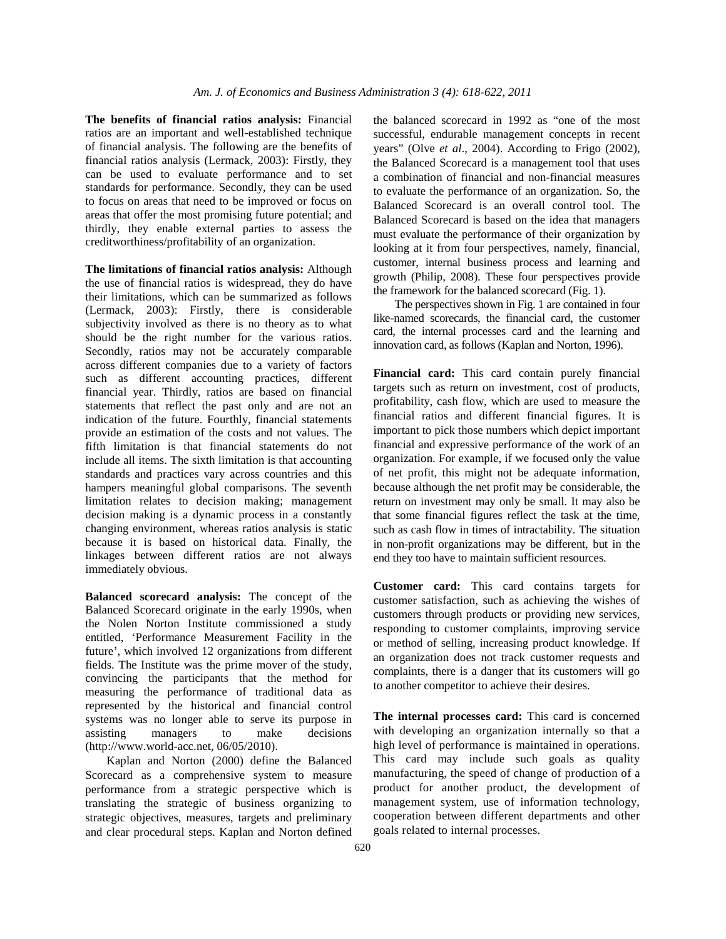**The benefits of financial ratios analysis:** Financial ratios are an important and well-established technique of financial analysis. The following are the benefits of financial ratios analysis (Lermack, 2003): Firstly, they can be used to evaluate performance and to set standards for performance. Secondly, they can be used to focus on areas that need to be improved or focus on areas that offer the most promising future potential; and thirdly, they enable external parties to assess the creditworthiness/profitability of an organization.

**The limitations of financial ratios analysis:** Although the use of financial ratios is widespread, they do have their limitations, which can be summarized as follows (Lermack, 2003): Firstly, there is considerable subjectivity involved as there is no theory as to what should be the right number for the various ratios. Secondly, ratios may not be accurately comparable across different companies due to a variety of factors such as different accounting practices, different financial year. Thirdly, ratios are based on financial statements that reflect the past only and are not an indication of the future. Fourthly, financial statements provide an estimation of the costs and not values. The fifth limitation is that financial statements do not include all items. The sixth limitation is that accounting standards and practices vary across countries and this hampers meaningful global comparisons. The seventh limitation relates to decision making; management decision making is a dynamic process in a constantly changing environment, whereas ratios analysis is static because it is based on historical data. Finally, the linkages between different ratios are not always immediately obvious.

**Balanced scorecard analysis:** The concept of the Balanced Scorecard originate in the early 1990s, when the Nolen Norton Institute commissioned a study entitled, 'Performance Measurement Facility in the future', which involved 12 organizations from different fields. The Institute was the prime mover of the study, convincing the participants that the method for measuring the performance of traditional data as represented by the historical and financial control systems was no longer able to serve its purpose in assisting managers to make decisions (http://www.world-acc.net, 06/05/2010).

 Kaplan and Norton (2000) define the Balanced Scorecard as a comprehensive system to measure performance from a strategic perspective which is translating the strategic of business organizing to strategic objectives, measures, targets and preliminary and clear procedural steps. Kaplan and Norton defined the balanced scorecard in 1992 as "one of the most successful, endurable management concepts in recent years" (Olve *et al*., 2004). According to Frigo (2002), the Balanced Scorecard is a management tool that uses a combination of financial and non-financial measures to evaluate the performance of an organization. So, the Balanced Scorecard is an overall control tool. The Balanced Scorecard is based on the idea that managers must evaluate the performance of their organization by looking at it from four perspectives, namely, financial, customer, internal business process and learning and growth (Philip, 2008). These four perspectives provide the framework for the balanced scorecard (Fig. 1).

 The perspectives shown in Fig. 1 are contained in four like-named scorecards, the financial card, the customer card, the internal processes card and the learning and innovation card, as follows (Kaplan and Norton, 1996).

**Financial card:** This card contain purely financial targets such as return on investment, cost of products, profitability, cash flow, which are used to measure the financial ratios and different financial figures. It is important to pick those numbers which depict important financial and expressive performance of the work of an organization. For example, if we focused only the value of net profit, this might not be adequate information, because although the net profit may be considerable, the return on investment may only be small. It may also be that some financial figures reflect the task at the time, such as cash flow in times of intractability. The situation in non-profit organizations may be different, but in the end they too have to maintain sufficient resources.

**Customer card:** This card contains targets for customer satisfaction, such as achieving the wishes of customers through products or providing new services, responding to customer complaints, improving service or method of selling, increasing product knowledge. If an organization does not track customer requests and complaints, there is a danger that its customers will go to another competitor to achieve their desires.

**The internal processes card:** This card is concerned with developing an organization internally so that a high level of performance is maintained in operations. This card may include such goals as quality manufacturing, the speed of change of production of a product for another product, the development of management system, use of information technology, cooperation between different departments and other goals related to internal processes.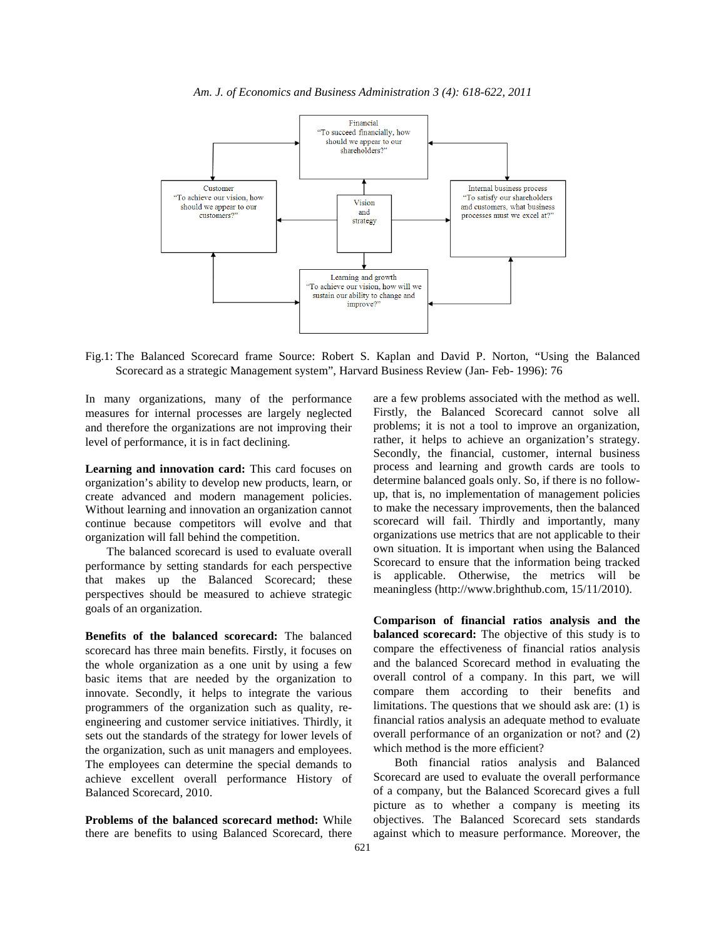

Fig.1: The Balanced Scorecard frame Source: Robert S. Kaplan and David P. Norton, "Using the Balanced Scorecard as a strategic Management system", Harvard Business Review (Jan- Feb- 1996): 76

In many organizations, many of the performance measures for internal processes are largely neglected and therefore the organizations are not improving their level of performance, it is in fact declining.

**Learning and innovation card:** This card focuses on organization's ability to develop new products, learn, or create advanced and modern management policies. Without learning and innovation an organization cannot continue because competitors will evolve and that organization will fall behind the competition.

 The balanced scorecard is used to evaluate overall performance by setting standards for each perspective that makes up the Balanced Scorecard; these perspectives should be measured to achieve strategic goals of an organization.

**Benefits of the balanced scorecard:** The balanced scorecard has three main benefits. Firstly, it focuses on the whole organization as a one unit by using a few basic items that are needed by the organization to innovate. Secondly, it helps to integrate the various programmers of the organization such as quality, reengineering and customer service initiatives. Thirdly, it sets out the standards of the strategy for lower levels of the organization, such as unit managers and employees. The employees can determine the special demands to achieve excellent overall performance History of Balanced Scorecard, 2010.

**Problems of the balanced scorecard method:** While there are benefits to using Balanced Scorecard, there are a few problems associated with the method as well. Firstly, the Balanced Scorecard cannot solve all problems; it is not a tool to improve an organization, rather, it helps to achieve an organization's strategy. Secondly, the financial, customer, internal business process and learning and growth cards are tools to determine balanced goals only. So, if there is no followup, that is, no implementation of management policies to make the necessary improvements, then the balanced scorecard will fail. Thirdly and importantly, many organizations use metrics that are not applicable to their own situation. It is important when using the Balanced Scorecard to ensure that the information being tracked is applicable. Otherwise, the metrics will be meaningless (http://www.brighthub.com, 15/11/2010).

**Comparison of financial ratios analysis and the balanced scorecard:** The objective of this study is to compare the effectiveness of financial ratios analysis and the balanced Scorecard method in evaluating the overall control of a company. In this part, we will compare them according to their benefits and limitations. The questions that we should ask are: (1) is financial ratios analysis an adequate method to evaluate overall performance of an organization or not? and (2) which method is the more efficient?

 Both financial ratios analysis and Balanced Scorecard are used to evaluate the overall performance of a company, but the Balanced Scorecard gives a full picture as to whether a company is meeting its objectives. The Balanced Scorecard sets standards against which to measure performance. Moreover, the